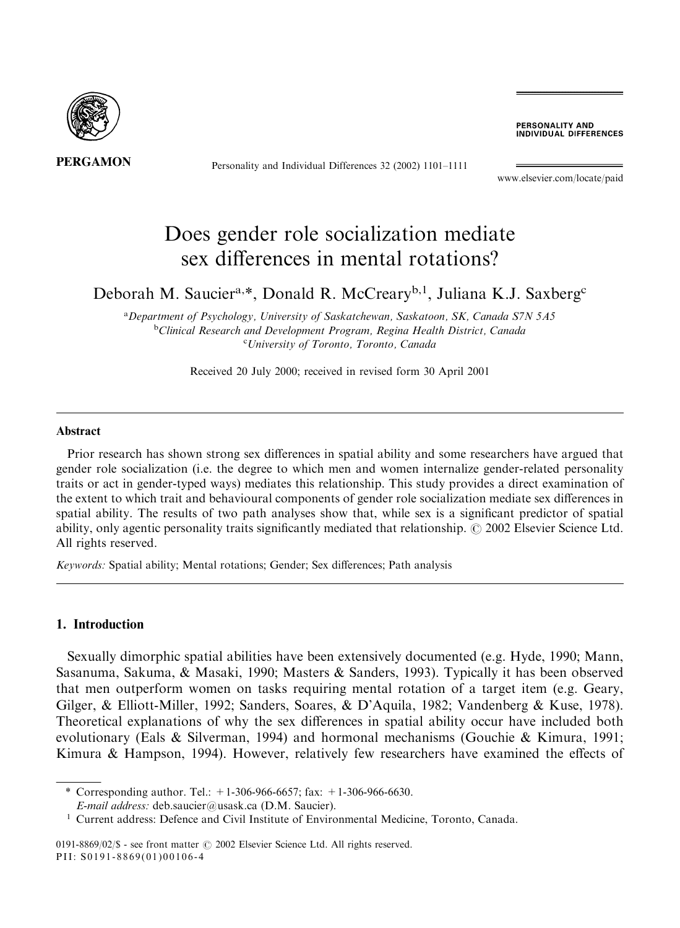

Personality and Individual Differences 32 (2002) 1101–1111

PERSONALITY AND **INDIVIDUAL DIFFERENCES** 

www.elsevier.com/locate/paid

## Does gender role socialization mediate sex differences in mental rotations?

### Deborah M. Saucier<sup>a,\*</sup>, Donald R. McCreary<sup>b,1</sup>, Juliana K.J. Saxberg<sup>c</sup>

<sup>a</sup>Department of Psychology, University of Saskatchewan, Saskatoon, SK, Canada S7N 5A5 <sup>b</sup>Clinical Research and Development Program, Regina Health District, Canada c University of Toronto, Toronto, Canada

Received 20 July 2000; received in revised form 30 April 2001

#### Abstract

Prior research has shown strong sex differences in spatial ability and some researchers have argued that gender role socialization (i.e. the degree to which men and women internalize gender-related personality traits or act in gender-typed ways) mediates this relationship. This study provides a direct examination of the extent to which trait and behavioural components of gender role socialization mediate sex differences in spatial ability. The results of two path analyses show that, while sex is a significant predictor of spatial ability, only agentic personality traits significantly mediated that relationship.  $\odot$  2002 Elsevier Science Ltd. All rights reserved.

Keywords: Spatial ability; Mental rotations; Gender; Sex differences; Path analysis

### 1. Introduction

Sexually dimorphic spatial abilities have been extensively documented (e.g. Hyde, 1990; Mann, Sasanuma, Sakuma, & Masaki, 1990; Masters & Sanders, 1993). Typically it has been observed that men outperform women on tasks requiring mental rotation of a target item (e.g. Geary, Gilger, & Elliott-Miller, 1992; Sanders, Soares, & D'Aquila, 1982; Vandenberg & Kuse, 1978). Theoretical explanations of why the sex differences in spatial ability occur have included both evolutionary (Eals & Silverman, 1994) and hormonal mechanisms (Gouchie & Kimura, 1991; Kimura & Hampson, 1994). However, relatively few researchers have examined the effects of

0191-8869/02/\$ - see front matter  $\odot$  2002 Elsevier Science Ltd. All rights reserved. PII: S0191-8869(01)00106-4

<sup>\*</sup> Corresponding author. Tel.:  $+1-306-966-6657$ ; fax:  $+1-306-966-6630$ . E-mail address: deb.saucier@usask.ca (D.M. Saucier).

<sup>1</sup> Current address: Defence and Civil Institute of Environmental Medicine, Toronto, Canada.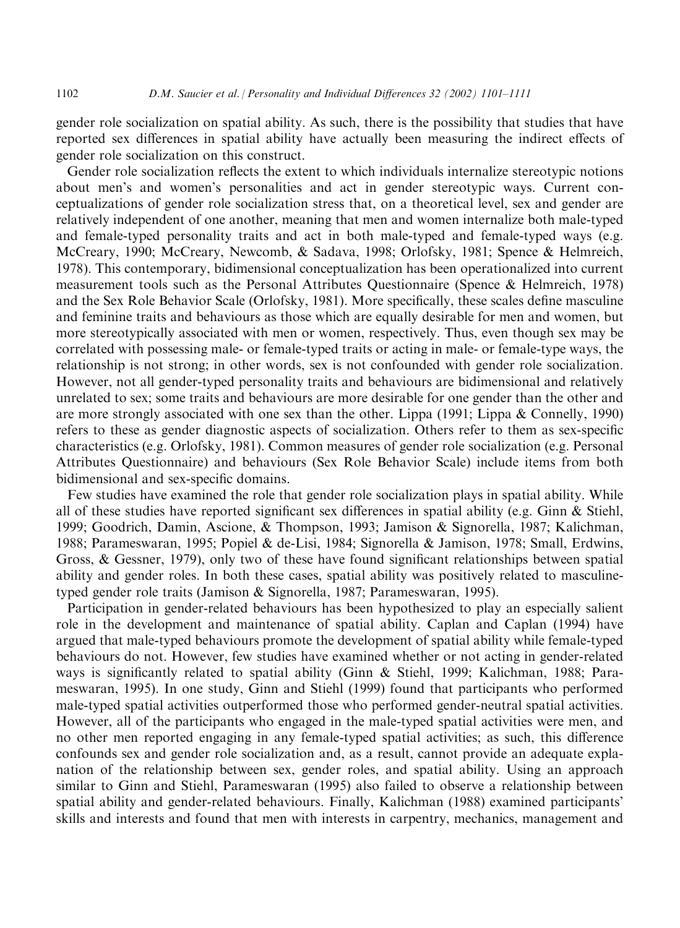gender role socialization on spatial ability. As such, there is the possibility that studies that have reported sex differences in spatial ability have actually been measuring the indirect effects of gender role socialization on this construct.

Gender role socialization reflects the extent to which individuals internalize stereotypic notions about men's and women's personalities and act in gender stereotypic ways. Current conceptualizations of gender role socialization stress that, on a theoretical level, sex and gender are relatively independent of one another, meaning that men and women internalize both male-typed and female-typed personality traits and act in both male-typed and female-typed ways (e.g. McCreary, 1990; McCreary, Newcomb, & Sadava, 1998; Orlofsky, 1981; Spence & Helmreich, 1978). This contemporary, bidimensional conceptualization has been operationalized into current measurement tools such as the Personal Attributes Questionnaire (Spence & Helmreich, 1978) and the Sex Role Behavior Scale (Orlofsky, 1981). More specifically, these scales define masculine and feminine traits and behaviours as those which are equally desirable for men and women, but more stereotypically associated with men or women, respectively. Thus, even though sex may be correlated with possessing male- or female-typed traits or acting in male- or female-type ways, the relationship is not strong; in other words, sex is not confounded with gender role socialization. However, not all gender-typed personality traits and behaviours are bidimensional and relatively unrelated to sex; some traits and behaviours are more desirable for one gender than the other and are more strongly associated with one sex than the other. Lippa (1991; Lippa & Connelly, 1990) refers to these as gender diagnostic aspects of socialization. Others refer to them as sex-specific characteristics (e.g. Orlofsky, 1981). Common measures of gender role socialization (e.g. Personal Attributes Questionnaire) and behaviours (Sex Role Behavior Scale) include items from both bidimensional and sex-specific domains.

Few studies have examined the role that gender role socialization plays in spatial ability. While all of these studies have reported significant sex differences in spatial ability (e.g. Ginn & Stiehl, 1999; Goodrich, Damin, Ascione, & Thompson, 1993; Jamison & Signorella, 1987; Kalichman, 1988; Parameswaran, 1995; Popiel & de-Lisi, 1984; Signorella & Jamison, 1978; Small, Erdwins, Gross, & Gessner, 1979), only two of these have found significant relationships between spatial ability and gender roles. In both these cases, spatial ability was positively related to masculinetyped gender role traits (Jamison & Signorella, 1987; Parameswaran, 1995).

Participation in gender-related behaviours has been hypothesized to play an especially salient role in the development and maintenance of spatial ability. Caplan and Caplan (1994) have argued that male-typed behaviours promote the development of spatial ability while female-typed behaviours do not. However, few studies have examined whether or not acting in gender-related ways is significantly related to spatial ability (Ginn & Stiehl, 1999; Kalichman, 1988; Parameswaran, 1995). In one study, Ginn and Stiehl (1999) found that participants who performed male-typed spatial activities outperformed those who performed gender-neutral spatial activities. However, all of the participants who engaged in the male-typed spatial activities were men, and no other men reported engaging in any female-typed spatial activities; as such, this difference confounds sex and gender role socialization and, as a result, cannot provide an adequate explanation of the relationship between sex, gender roles, and spatial ability. Using an approach similar to Ginn and Stiehl, Parameswaran (1995) also failed to observe a relationship between spatial ability and gender-related behaviours. Finally, Kalichman (1988) examined participants' skills and interests and found that men with interests in carpentry, mechanics, management and